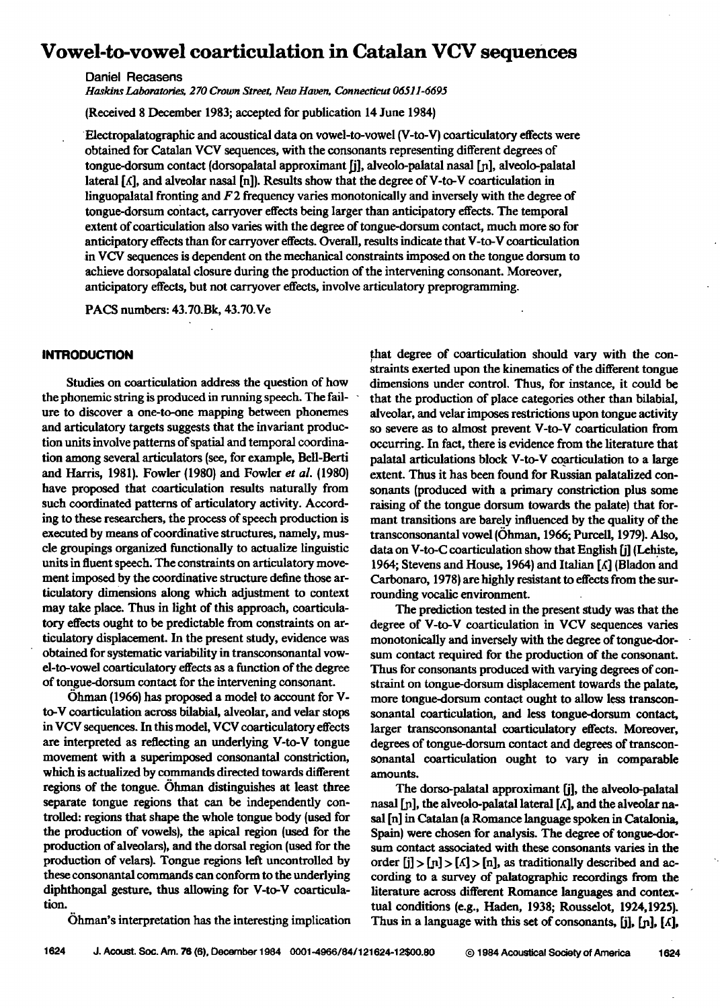# **Vowel-to-vowel coarticulation in Catalan VCV sequences**

**Daniel Recasens** 

**Haskins Laboratories, 270 Crown Street, New Haven, Connecticut 06511-6695** 

**(Received 8 December 1983; accepted for publication 14 June 1984)** 

**'Electropalatographic and acoustical data on vowel-to-vowel (V-to-V) coarticulatory effects were obtained for Catalan VCV sequences, with the consonants representing different degrees of**  tongue-dorsum contact (dorsopalatal approximant [j], alveolo-palatal nasal [n], alveolo-palatal lateral  $[\Lambda]$ , and alveolar nasal  $[n]$ ). Results show that the degree of V-to-V coarticulation in **linguopalatal fronting and F2 frequency varies monotonically and inversely with the degree of Wngue-dorsum cobtact, carryover effects being larger than anticipatory effects. The temporal extent of coarticulation also varies with the degree of tongue-dorsum contact, much more so for anticipatory effects than for carryover effects. Overall, results indicate that V-to-V coarticulation .in VCV sequences idependent on the mechanical constraints imposed on the tongue dorsum to achieve dorsopalatal closure during the production of the intervening consonant. Moreover, anticipatory effects, but not carryover effects, involve articulatory preprogramming.** 

**PACS numbers: 43.70.Bk, 43.70.Ve** 

# **INTRODUCTION**

**Studies on coarticulation address the question of how**  the phonemic string is produced in running speech. The fail**ure to discover a one-to-one mapping between phoneroes and articulatory targets suggests that the invariant production units involve patterns of spatial and temporal eoordination among several articulators (see, for example, Bcll-Berti and Harris, 1981). Fowler (1980) and Fowler et aL (1980) have proposed that coarticulation results naturally from such coordinated patterns of artieulatory activity. According to these researchers, the process of speech production is executed by means of eoordinative structures, namely, mus**cle groupings organized functionally to actualize linguistic **units in fluent speech. The constraints on articulatory movement imposed by the coordinativc structure define those articulatory dimensions along which adjustment to context may take place. Thus in light of this approach, coarticulatory effects ought to be predictable from constraints on articulatory displacement. In the present study, evidence was obtained for systematic variability in transconsonantal vowel-to-vowel coarticulatory effects as a function of the degree**  of tongue-dorsum contact for the intervening consonant.

**Ohman (1966) has proposed a model to account for V**to-V coarticulation across bilabial, alveolar, and velar stops **in VCV sequences. Inthis model, VCV coarticulatory effects are interpreted as reflecting an underlying V-to-V tongue movement with a superimposed consonantal constriction, which is actualized by commands directed towards different**  regions of the tongue. Ohman distinguishes at least three **separate tongue regions that can be independently controlled: regions that shape the whole tongue body (used for the production of vowels), the apical region (used for the production of alveolars), and the dorsal region (used for the production of velars). Tongue regions left uncontrolled by these consonantal commands can conform to the underlying diphthongal gesture, thus allowing for V-to-V coarticulation.** 

**..that degree of coarticulation should vary with the constraints exerted upon the kinematics of the different tongue dimensions under control. Thus, for instance, it could be that the production of place categories other than bilabial, alveolar, and velar imposes restrictions upon tongue activity so severe as to almost prevent V-to-V coarticulation from occurring. In fact, there is evidence from the literature that**  palatal articulations block V-to-V coarticulation to a large **extent. Thus it has been found for Russian palatalized con**sonants (produced with a primary constriction plus some **raising of the tongue dorsum towards the palate) that formant transitions are barely influenced by the quality of the**  transconsonantal vowel (Ohman, 1966; Purcell, 1979). Also, data on V-to-C coarticulation show that English [j] (Lehiste, **1964; Stevens and House, 1964) and Italian [•[] (Bladon and**  Carbonaro, 1978) are highly resistant to effects from the surrounding vocalic environment.

**The prediction tested in the present study was that the degree of V-to-V coarticulation in VCV sequences varies monotonically and inversely with the degree of tongue-dorsum contact required for the production of the consonant. Thus for consonants produced with varying degrees of constraint on tongue-dorsum displacement towards the palate, more tongue-dorsum contact ought to allow less transconsonantal coarticulation, and less tongue-dorsum contact, larger transconsonantal coarticulatory effects. Moreover, degrees of tongue-dorsum contact and degrees of transconsonantal coarticulation ought to vary in comparable amounts.** 

**The dorso-palatal approximant [j], the alveolo-palatal**  nasal  $[n]$ , the alveolo-palatal lateral  $[\Lambda]$ , and the alveolar na**sal [n] in Catalan (a Romance language spoken in Catalonia, Spain) were chosen 'for analysis. The degree of tongue dotsum contact associated with these consonants varies in the**  order  $[i] > [n] > [\Lambda] > [n]$ , as traditionally described and ac**cording to a survey of palatographic recordings from the literature across different Romance languages and contextual conditions (e.g., Haden, 1938; Rousselot, 1924,1925). Thus in a language with this set of consonants, [j], [p], [•[],** 

**•hman's interpretation has the interesting implication**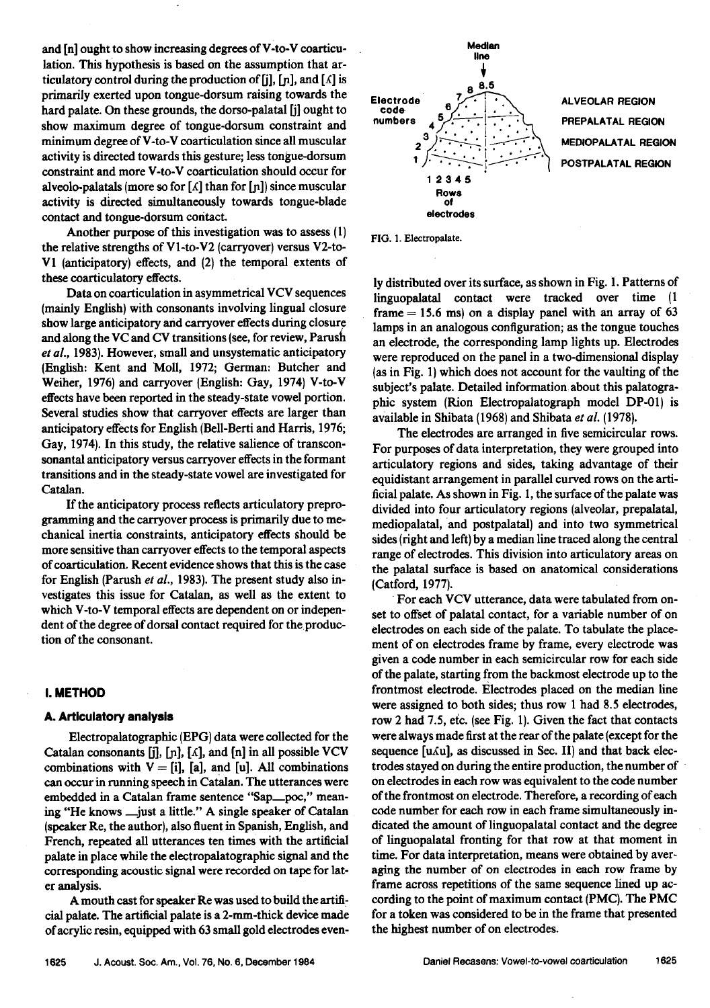and [n] ought to show increasing degrees of V-to-V coarticu**lation. This hypothesis is based on the assumption that articulatory control during the production of [j], [n], and**  $[\Lambda]$  **is primarily exerted upon tongue-dorsum raising towards the**  hard palate. On these grounds, the dorso-palatal [j] ought to **show maximum degree of tongue-dorsum constraint and minimum degree of V-to-V coarticulation since all muscular activity is directed towards this gesture; less tongue-dorsum constraint and more V-to-V coarticulation should occur for**  alveolo-palatals (more so for  $\lceil \Lambda \rceil$  than for  $\lceil \ln \rceil$ ) since muscular **activity is directed simultaneously towards tongue-blade contact and tongue-dorsum contact.** 

**Another purpose of this investigation was to assess (1) the relative strengths of V 1-to-V2 (carryover) versus V2-to-V1 (anticipatory) effects, and {2) the temporal extents of these eoarticulatory effects.** 

**Data on coarticulation in asymmetrical VCV sequences (mainly English) with consonants involving lingual closure show large anticipatory and carryover effects during closure and along the VC and CV transitions {see, for review, Parusfi et al., 1983). However, small and unsystematic anticipatory {English: Kent and Moll, 1972; German: Butcher and Weiher, 1976) and carryover (English: Gay, 1974) V-to-V effects have been reported in the steady-state vowel portion. Several studies show that carryover effects are larger than anticipatory effects for English (Bell-Berti and Harris, 1976;**  Gay, 1974). In this study, the relative salience of transcon**sonantal anticipatory versus carryover effects in the formant transitions and in the steady-state vowel are investigated for Catalan.** 

**If the anticipatory process reflects articulatory preprogramming and the carryover process is primarily due to mechanical inertia constraints, anticipatory effects should be more sensitive than carryover effects to the temporal aspects ofcoarticulation. Recent evidence shows that this is the case for English (Parush et al., 1983). The present study also investigates this issue for Catalan, as well as the extent to which V-to-V temporal effects are dependent on or independent of the degree of dorsal contact required for the.production of the consonant.** 

# **I. METHOD**

## **A. Artlculatory analysis**

**Electropalatographic (EPG) data were collected for the**  Catalan consonants  $[j], [n], [\Lambda]$ , and  $[n]$  in all possible VCV combinations with  $V = [i]$ , [a], and [u]. All combinations **can occur in running speech in Catalan. The utterances were embedded in a Catalan frame sentence "Sap\_\_poe," meaning "He knows .\_just a little." A single speaker of Catalan (speaker Re, the author), also fluent in Spanish, English, and French, repeated all utterances ten times with the artificial palate in place while the electropalatographie sgnal and the corresponding acoustic signal were recorded on tape for later analysis.** 

**A mouth cast for speaker Re was used to build the artificial palate. The artificial palate is a 2-ram-thick device made of acrylic resin, equipped with 63 small gold electrodes even-**



**FIG. 1. Electropalate.** 

**ly distributed over its surface, as shown in Fig. l. Patterns of linguopalatal contact were tracked over time (1 frame = 15.6 ms) on a display panel with an array of 63 lamps in an analogous configuration; as the tongue touches an electrode, the corresponding lamp lights up. Electrodes were reproduced on the panel in a two-dimensional display (as in Fig. 1) which does not account for the vaulting of the subject's palate. Detailed information about this palatographic system (Rion Electropalatograph model DP-01) is available in Shibata (1968) and Shibata et al. (1978).** 

**The electrodes are arranged in five semicircular rows. For purposes of data interpretation, they were grouped into articulatory regions and sides, taking advantage of their equidistant arrangement in parallel curved rows on the artificial palate. As shown in Fig. I, the Surface of the palate was divided into four articulatory regions (alveolar, prepalatal, mediopalatal, •and postpalatal) and into two symmetrical sides (right and left) by a median line traced along the central range of electrodes. This division into articulatory areas on the palatal surface is based on anatomical considerations {Catford, 1977).** 

**ß For each VCV utterance, data were tabulated from onset to offset of palatal contact, for a variable number of on electrodes on each side of the palate. To tabulate the placement of on electrodes frame by frame, every electrode was**  given a code number in each semicircular row for each side **of the palate, starting from the backmost electrode up to the frontmost electrode. Electrodes placed on the median line were assigned to both sides; thus row 1 had 8.5 electrodes, row 2 had 7.5, eic. (see Fig. 1). Given the fact that contacts were always made first at the rear of the palate (except for the**  sequence [u.Au], as discussed in Sec. II] and that back elec**trodes stayed on during the entire production, the number of**  on electrodes in each row was equivalent to the code number **of the frontmost on electrode. Therefore, a recording of each code number for each row in each frame simultaneously indicated the amount of linguopalatal contact and the degree of linguopalatal fronting for that row at that moment in time. For data interpretation, means were obtained by averaging the number of on electrodes in each row frame by frame across repetitions of the same sequence lined up according to the point of maximum contact (PMC). The PMC for a token was considered to be in the frame that presented the highest number of on electrodes.**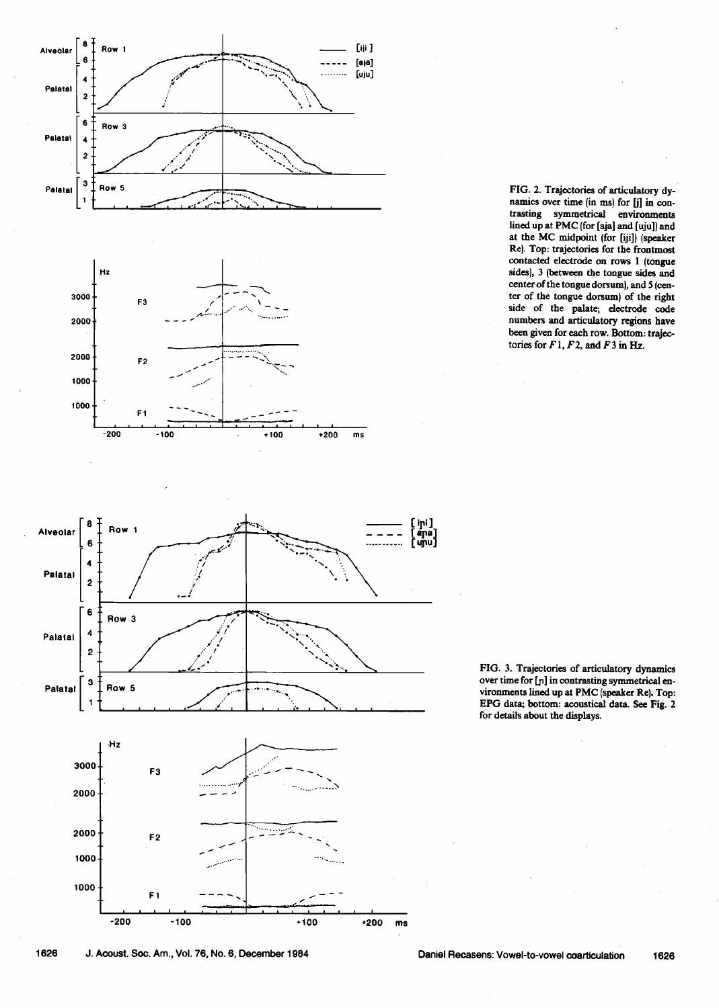









FIG. 3. Trajectories of articulatory dynamics over time for [p] in contrasting symmetrical en**vironments lined up at PMC (speaker Re). Top: EPG data; bottom: acoustical data. See Fig. 2 for details about the displays.** 

**1626 J. Acoust. Sec. Am., Vol. 76, No. 6, December 1984 Daniel Recasens: Vowel-to-vowel coarticulation 1626**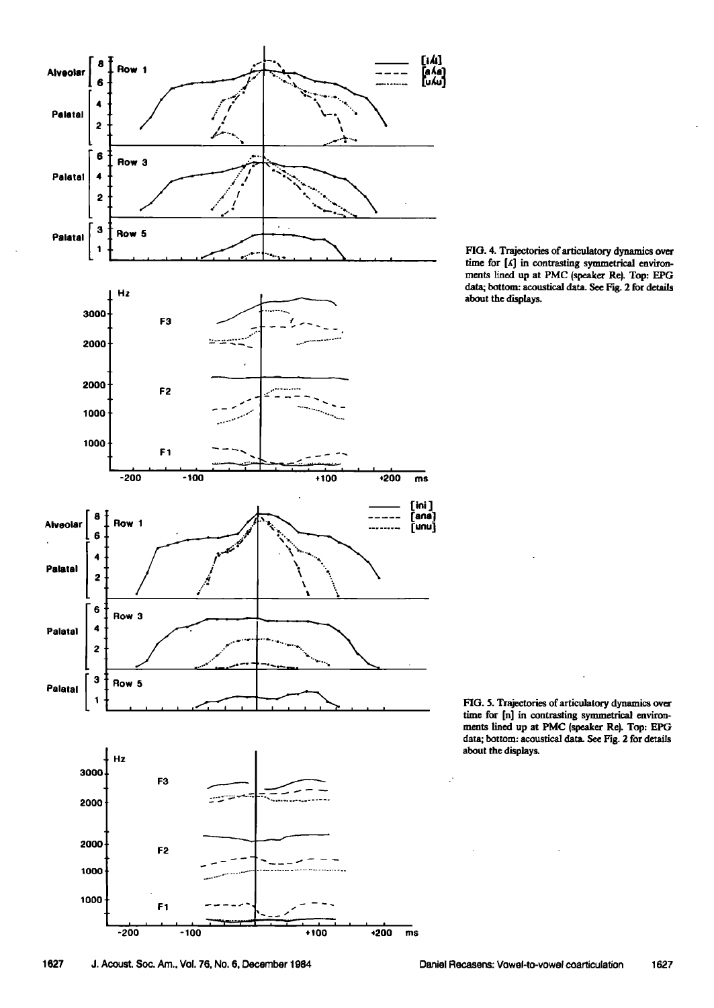

FIG. 4. Trajectories of articulatory dynamics over time for [A] in contrasting symmetrical environments lined up at PMC (speaker Re). Top: EPG data; bottom: acoustical data. See Fig. 2 for details **about the displays.** 

FIG. 5. Trajectories of articulatory dynamics over time for [n] in contrasting symmetrical environ**ments lined up at PMC (speaker Re). Top: EPG**  data; bottom: acoustical data. See Fig. 2 for details **about the displays.**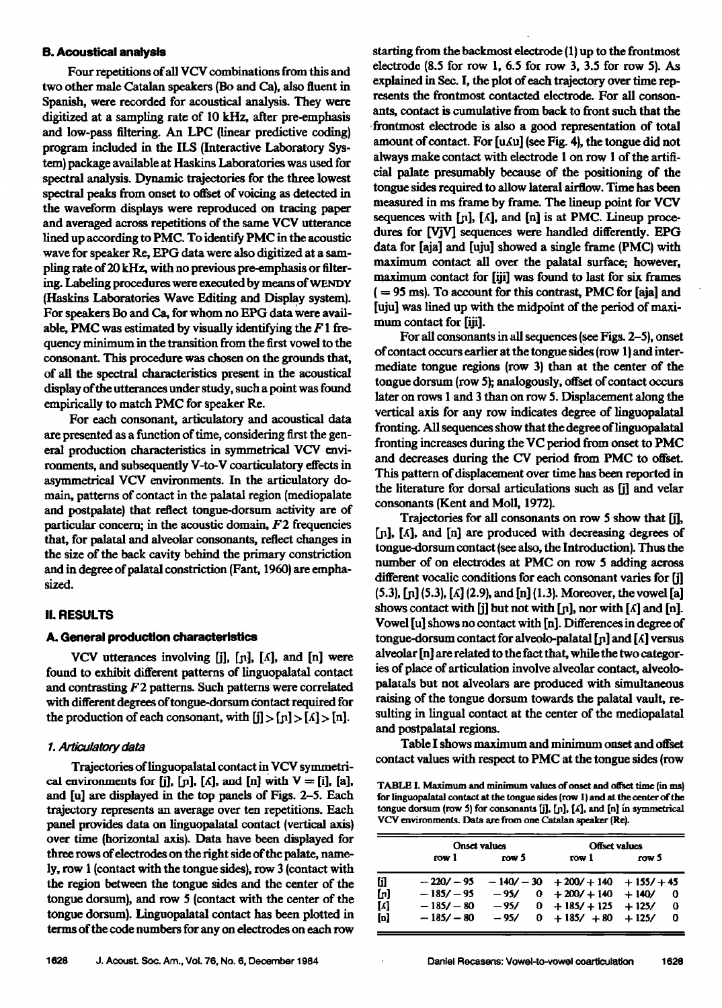#### **B. Acoustical analysis**

**Four repetitions of all VCV combinations from this and two other male Catalan speakers (Bo and Ca), also fluent in Spanish, were recorded for acoustical analysis. They were digitized at a sampling rate of 10 kHz, after pre-emphasis and low-pass filtering. An LPC (linear predictive coding) program included in the ILS (Interactive Laboratory System) package available at Haskins Laboratories was used for spectral analysis. Dynamic trajectories for the three lowest spectral peaks from onset to offset of voicing as detected in the waveform displays were reproduced on tracing paper and averaged across repetitions of the same VCV utterance lined up according to PMC. To identify PMC in the acoustic ß wave for speaker Re, EPG data were also digitized at a sampling rate of 20 kHz, with no previous pre-emphasis or filtering. Labeling procedures were executed by means of (Haskins Laboratories Wave Editing and Display system).** For speakers Bo and Ca, for whom no EPG data were avail**able, PMC was estimated by visually identifying the F 1 frequency minimum in the transition from the first vowel to the consonant. This procedure was chosen on the grounds that, of all the spectral characteristics present in the acoustical display of the utterances under study, such a point was found**  empirically to match PMC for speaker Re.

**For each consonant, articulatory and acoustical data are presented as a function of time, considering first the gen**eral production characteristics in symmetrical VCV environments, and subsequently V-to-V coarticulatory effects in **asymmetrical VCV environments. In the articulatory do**main, patterns of contact in the palatal region (mediopalate **and postpalate} that reflect tongue-dorsum activity are of particular concern; in the acoustic domain, F2 frequencies that, for palatal and alveolar consonants, reflect changes in**  the size of the back cavity behind the primary constriction and in degree of palatal constriction (Fant, 1960) are emphasized.

# **II. RESULTS**

#### **A. General production characteristics**

VCV utterances involving [j], [n], [A], and [n] were **found to exhibit different patterns of linguopalatal contact and contrasting F2 patterns. Such patterns were correlated with different degrees oftongue-dorsum Contact required for**  the production of each consonant, with  $[i] > [n] > [n]$ .

#### **1. An'iculatory data**

Trajectories of linguopalatal contact in VCV symmetrical environments for [j],  $[n]$ ,  $[\Lambda]$ , and  $[n]$  with  $V = [i]$ ,  $[a]$ , **and [u] are displayed in the top panels of Figs. 2-5. Each trajectory represents an average over ten repetitions. Each panel provides data on linguopalatal contact (vertical axis) over time (horizontal axis). Data have been displayed for three rows of electrodes on the right side of the palate, namely, row 1 (contact with the tongue sides), row 3 (contact with the region between the tongue sides and the center of the tongue dorsum), and row 5 {contact with the center of the tongue dorsum). Linguopalatal contact has been plotted in**  terms of the code numbers for any on electrodes on each row

**starting from the backmost electrode (1) up to the frontmost electrode (8.5 for row 1, 6.5 for row 3, 3.5 for row 5). As explained in Sec. I, the plot of each trajectory over time represents the frontmost contacted electrode. For all consonants, contact is cumulative from back to front such that the ß frontmost electrode is also a good representation of total**  amount of contact. For [u*ku*] (see Fig. 4), the tongue did not **always make contact with dectrode I on row I of the artificial palate presumably because of the positioning of the tongue sides required to allow hteral airflow. Time has been measured in ms frame by frame. The lineup point for VCV**  sequences with  $[n]$ ,  $[\Lambda]$ , and  $[n]$  is at PMC. Lineup proce**dures for [VjV] sequences were handled differently. EPG**  data for [aja] and [uju] showed a single frame (PMC) with **maximum contact all over the palatal surface; however, maximum contact for [iji] was found to last for six frames ( = 95 ms). To account for this contrast, PMC for [aj4 and [uju] was lined up with the midpoint of the period of maximum contact for [iji].** 

For all consonants in all sequences (see Figs. 2–5), onset **of contact occurs earlier at the tongue sides (row 1) and intermediate tongue regions (row 3) than at the center of the tongue dorsum (row 5); analogously, offset of contact occurs later on rows 1 and 3 than on row 5. Displacement along the vertical axis for any row indicates degree of linguopalatal fronting. All sequences show that the degree of linguopalatal**  fronting increases during the VC period from onset to PMC **and decreases during the CV period from PMC to otfset. This pattern of displacement over time has been reported in the literature for dorsal articulations such as [j] and velar consonants (Kent and Moll, 1972).** 

**Trajectories for all consonants on row 5 show that [j],**  [n], [ $\Lambda$ ], and [n] are produced with decreasing degrees of tongue-dorsum contact (see also, the Introduction). Thus the **number of on electrodes at PMC on row 5 adding across different voealie conditions for each consonant varies for [j] (5.3), tp] (5.3}, [x] (2.9}, and [n] (1.3). Moreover, the vowd [a]**  shows contact with  $\begin{bmatrix} j \end{bmatrix}$  but not with  $\begin{bmatrix} n \end{bmatrix}$ , nor with  $\begin{bmatrix} \Lambda \end{bmatrix}$  and  $\begin{bmatrix} n \end{bmatrix}$ . **Vowel [u] shows no contact with In]. Differences indegree of tongue-dorsum contact for alveolo-palatal [n] and [** $\Lambda$ **] versus alveolar In] are related to the fact that, while the two categories of place of articulation involve alveolar contact, alveolopalatals but not alveolars are produced with simultaneous raising of the tongue dorsum towards the palatal vault, resuiting in lingual contact at the center of the mediopalatal and postpalatal regions.** 

**Table I shows maximum and m'mimum onset and offset**  contact values with respect to PMC at the tongue sides (row

TABLE I. Maximum and minimum values of onset and offset time (in ms) **for linguopalatal contact at the tongue sides (row 1} and at the center of the**  tongue dorsum (row 5) for consonants [j], [n], [A], and [n] in symmetrical VCV environments. Data are from one Catalan speaker (Re).

|                                                      | <b>Onset values</b> |        | <b>Offset values</b>              |                        |  |  |  |
|------------------------------------------------------|---------------------|--------|-----------------------------------|------------------------|--|--|--|
|                                                      | row 1               | TOW 5  | row 1                             | row 5                  |  |  |  |
| [j]                                                  | $-220/ -95$         |        | $-140/-30$ $+200/+140$ $+155/+45$ |                        |  |  |  |
| [n]                                                  | $-185/ -95$         | - 95/  | $0 + 200/ + 140$                  | $+140/$<br>0           |  |  |  |
| $\left[ \begin{matrix} \Lambda \end{matrix} \right]$ | $-185/ - 80$        | $-95/$ | $0 + 185/ + 125 + 125/$           | 0                      |  |  |  |
| $\mathbf{p}$                                         | $-185/ - 80$        | $-95/$ | $0 + 185/ + 80$                   | $+125/$<br>$\mathbf 0$ |  |  |  |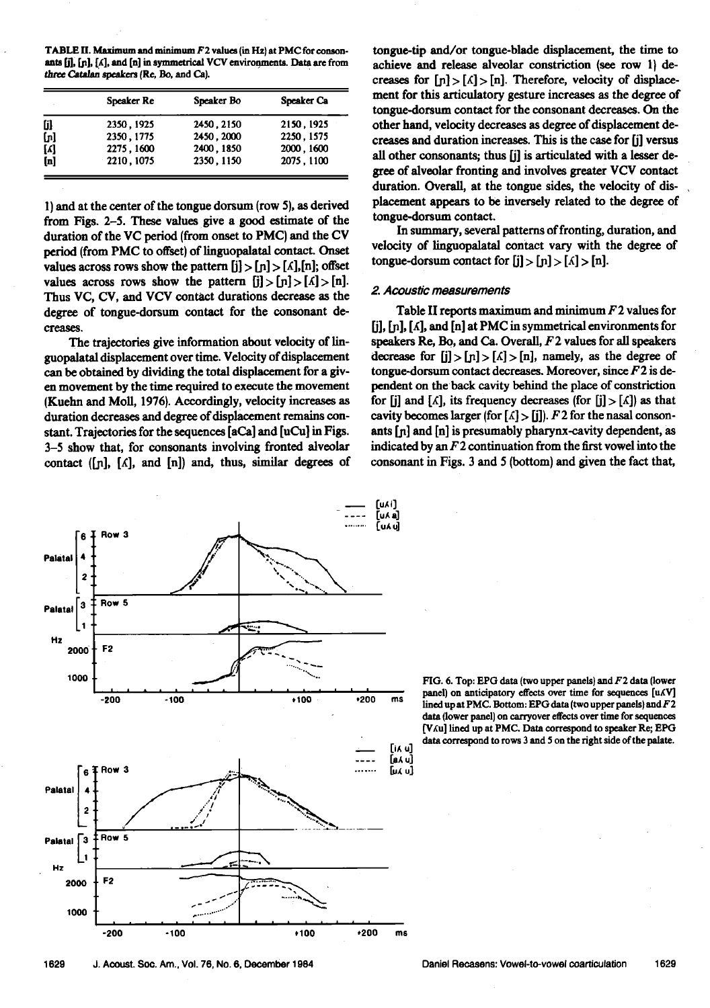TABLE II. Maximum and minimum F2 values (in Hz) at PMC for consonants [j], [n], [A], and [n] in symmetrical VCV environments. Data are from three Catalan speakers (Re, Bo, and Ca).

|       | <b>Speaker Re</b> | Speaker Bo | Speaker Ca |
|-------|-------------------|------------|------------|
| [j]   | 2350, 1925        | 2450, 2150 | 2150, 1925 |
| (ភ្ញ  | 2350, 1775        | 2450, 2000 | 2250, 1575 |
| $[4]$ | 2275, 1600        | 2400, 1850 | 2000, 1600 |
| [n]   | $-2210, 1075$     | 2350, 1150 | 2075.1100  |

**l) and at the center of the tongue dersum (row 5), as derived from Figs. 2-5. These values give a good estimate of the**  duration of the VC period (from onset to PMC) and the CV **period (from PMC to offset) of linguopalatal contact. Onset**  values across rows show the pattern  $[j] > [n] > [\Lambda], [n]$ ; offset values across rows show the pattern  $[i] > [n] > [A] > [n]$ . **Thus VC, CV, and VCV contact durations decrease as the degree of tongue-dorsum contact for the consonant decreases.** 

**The trajectories give information about velocity of linguopalatal displacement over time. Velocity of displacement can be obtained by dividing the total displacement for a given movement by the time required to execute the movement (Kuehn and Moll, 1976). Accordingly, velocity increases as duration decreases and degree of displacement remains constant. Trajectories for the sequences [aCa] and [uCu] in Figs. 3-5 show that, for consonants involving fronted alveolar**  contact ([n], [A], and [n]) and, thus, similar degrees of

**[u/, a] Row 3**  6 **Row 5 Palatal**  $\begin{bmatrix} 3 & 1 & 1 & 0 & 0 \\ 1 & 1 & 1 & 0 & 0 \\ 0 & 0 & 0 & 0 & 0 \\ 0 & 0 & 0 & 0 & 0 \\ 0 & 0 & 0 & 0 & 0 \\ 0 & 0 & 0 & 0 & 0 \\ 0 & 0 & 0 & 0 & 0 \\ 0 & 0 & 0 & 0 & 0 \\ 0 & 0 & 0 & 0 & 0 \\ 0 & 0 & 0 & 0 & 0 \\ 0 & 0 & 0 & 0 & 0 \\ 0 & 0 & 0 & 0 & 0 \\ 0 & 0 & 0 & 0 & 0 \\ 0 & 0 & 0 &$ **Hz 2000' F2 .....-..:.:\_ 1000 -200 -100 .100 ,200 ms [i• u] [•u] Row 3 ru• u]**  .<br>6 Palatal 4<br>2<br>**Palatal 2**<br>**Palatal 2**<br>**Palatal 2**<br>**Palatal 2**<br>**Palatal 2**<br>**Palatal 2**<br>**Palatal 2 Row 5 Palatal**  $\begin{bmatrix} 3 & 1 \\ 1 & 1 \end{bmatrix}$ **Hz F2 • 2OOO 1000 +100 \*200 -200 -100 m6** 

**tongue-tip and/or tongue-blade displacement, the time to**  achieve and release alveolar constriction (see row 1) decreases for  $[n] > [1] > [n]$ . Therefore, velocity of displace**ment for this articulatory gesture increases as the degree of tongue-dorsum contact for the consonant decreases. On the other hand, velocity decreases as degree of displacement decreases and duration increases. This is the case for [j] versus all other consonants; thus [j] is articulated with a lesser degree of alveolar fronting and involves greater VCV contact duration. Overall, at the tongue sides, the velocity of displacement appears to be inversely related to the degree of tongue-dorsum contact.** 

**In summary, several patterns of fronting, duration, and velocity of linguopalatal contact vary with the degree of**  tongue-dorsum contact for  $[j] > [n] > [\Lambda] > [n]$ .

#### **2. Acoustic measurements**

**Table II reports maximum and minimum F2 values for [j], LB], [,•], and [n] at PMC in symmetrical environments for speakers Re, Be, and Ca. Overall, F2 values for all speakers**  decrease for  $[i] > [n] > [\Lambda] > [n]$ , namely, as the degree of **tongue-dorsum contact decreases. Moreover, since F2 is dependent on the' back cavity behind the place of constriction**  for [j] and  $[A]$ , its frequency decreases (for  $[j] > [A]$ ) as that cavity becomes larger (for  $[\Lambda] > [\mathbf{j}]$ ).  $F$  2 for the nasal consonants [n] and [n] is presumably pharynx-cavity dependent, as **indicated by an F 2 continuation from the first vowel into the consonant inFigs. 3 and 5 (bottom) and given the fact that,** 

FIG. 6. Top: EPG data (two upper panels) and F2 data (lower **panel) on anticipatory effects over time for sequences**  lined up at PMC. Bottom: EPG data (two upper panels) and F2 **data (lower panel) on carryover effects over time for sequences [V,iu] lined up at PMC. Data correspond to speaker Re; EPG**  data correspond to rows 3 and 5 on the right side of the palate.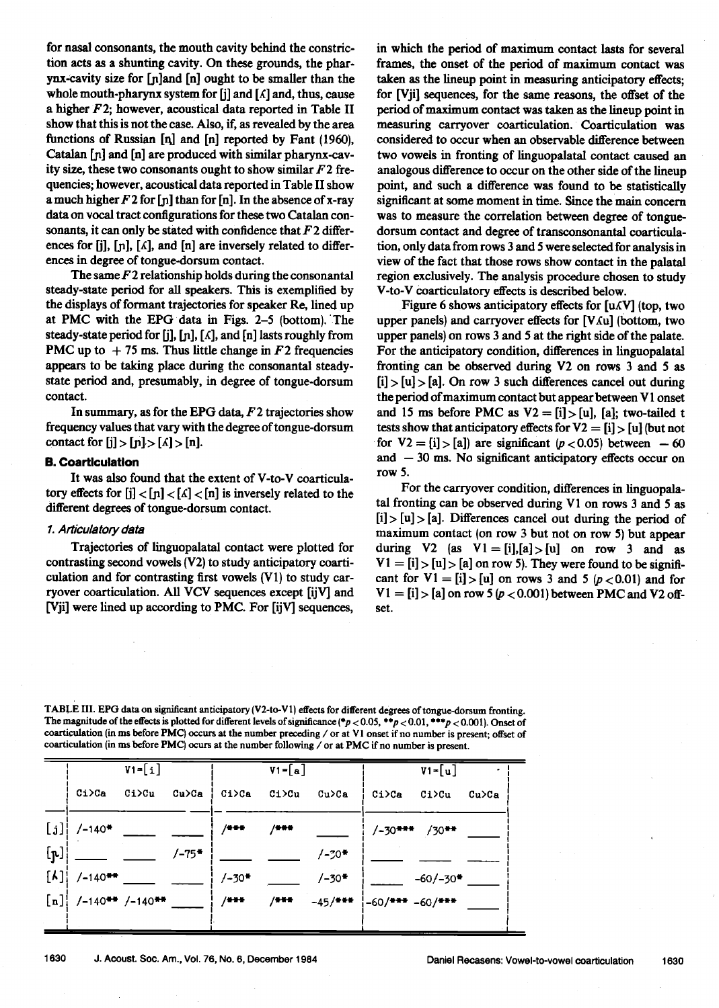**for nasal consonants, the mouth cavity behind the constriction acts as a shunting cavity. On these grounds, the pharynx-cavity size for [p]and [n] ought to be smaller than the whole mouth-pharynx system for [j] and [,(] and, thus, cause a higher F2; however, acoustical data reported in Table II show that this is not the case. Also, if, as revealed by the area functions of Russian [q] and [n] reported by Fant (1960), Catalan [p] and [n] are produced with similar pharynx-cavity size, these two consonants ought to show similar F2 frequencies; however, acoustical data reported in Table II show a much higher F2 for [ja] than for [n]. In the absence of x-ray data on vocal tract configurations for these two Catalan consonants, it can only be stated with confidence that F2 differ**ences for [j], [n], [*k*], and [n] are inversely related to differ**ences in degree of tongue-dorsum contact.** 

**The same F 2 relationship holds during the consonantal steady-state period for all speakers. This is exemplified by**  the displays of formant trajectories for speaker Re, lined up **at PMC with the EPG data in Figs. 2-5 (bottom). 'The steady-state period for [j], [p], [,(], and [n] lasts roughly from PMC** up to  $+75$  ms. Thus little change in  $F2$  frequencies **appears to be taking place during the consonantal steadystate period and, presumably, in degree of tongue-dorsum contact.** 

In summary, as for the EPG data, F2 trajectories show **frequency values that vary with the degree oftongue-dorsum**  contact for  $[j] > [n] > [\Lambda] > [n]$ .

## **B. Coartlculatlon**

**It was also found that the extent of V-to-V coarticula**tory effects for  $[j] < [n] < [\Lambda] < [n]$  is inversely related to the **different degrees of tongue-dorsum contact.** 

## **1. Articulatory data**

**Trajectories of linguopalatal contact were plotted for contrasting second vowels (V2) to study anticipatory coarticulation and for contrasting first vowels (V1) to study carryover coarticulation. All VCV sequences except [ijV] and [Vji] were lined up according to PMC. For [ijV] sequences,**  **in which the period of maximum contact lasts for several frames, the onset of the period of maximum contact was taken as the lineup point in measuring anticipatory effects; for [Vji] sequences, for the same reasons, the offset of the period of maximum contact was taken as the lineup point in measuring carryover coarticulation. Coarticulation was considered to occur when an observable difference between two vowels in fronting of linguopalatal contact caused an analogous difference to occur on the other side of the lineup point, and such a difference was found to be statistically significant at some moment in time. Since the main concern was to measure the correlation between degree of tongue**dorsum contact and degree of transconsonantal coarticula**tion, only data from rows 3 and 5 were selected for analysis in view of the fact that those rows show contact in the palatal region exclusively. The analysis procedure chosen to study V-to-V Coarticulatory effects is described below.** 

Figure 6 shows anticipatory effects for [u $\Lambda$ V] (top, two upper panels) and carryover effects for [V $\Lambda$ u] (bottom, two **upper panels) on rows 3 and 5 at the fight side of the palate. For the anticipatory condition, differences in linguopalatal**  fronting can be observed during V2 on rows 3 and 5 as **[i] > [u] > [a]. On row 3 such differences cancel out during the period of maximum contact but appear between V 1 onset**  and 15 ms before PMC as  $V2 = [i] > [u]$ , [a]; two-tailed t **tests show that anticipatory effects for V2 = [i] > [u] (but not**  for  $V2 = [i] > [a]$  are significant ( $p < 0.05$ ) between --60 **and -- 30 ms. No significant anticipatory effects occur on row 5.** 

For the carryover condition, differences in linguopalatal fronting can be observed during V1 on rows 3 and 5 as **[i] > [u] > [a]. Differences cancel out during the period of maximum contact (on row 3 but not on row 5) but appear**  during V2 (as  $VI = [i], [a] > [u]$  on row 3 and as  $V1 = [i] > [u] > [a]$  on row 5). They were found to be significant for  $V1 = [i] > [u]$  on rows 3 and 5 ( $p < 0.01$ ) and for  $V1 = [i] > [a]$  on row 5 ( $p < 0.001$ ) between PMC and V2 off**set.** 

**TABLE IlL EPG data on significant anticipatory (V2-to-V 1) effects for different degrees of tongue-dorsum fronting.**  The magnitude of the effects is plotted for different levels of significance ( $p < 0.05$ ,  $*p < 0.01$ ,  $**p < 0.001$ ). Onset of **coarticulation (in ms before PMC) occurs at the number preceding / or at VI onset if no number is present; offset of**  coarticulation (in ms before PMC) ocurs at the number following / or at PMC if no number is present.

|                |                                                 | $V1 = [i]$ |       |         | $V1 = [a]$ |                     |                       | $V1 = [u]$             |          |
|----------------|-------------------------------------------------|------------|-------|---------|------------|---------------------|-----------------------|------------------------|----------|
|                | Ci>Ca                                           | Ci>Cu      | Cu>Ca | ¦ Ci>Ca | Ci>Cu      | Cu>Ca               | Ci>Ca                 | C1>Cu                  | $Cu$ >Ca |
|                | $[j]$ /-140*                                    |            |       | /***    | /***       |                     |                       | $/-30***$ /30**        |          |
| $[\mathbf{r}]$ |                                                 |            | /−75* |         |            | $/ - 70*$           |                       |                        |          |
|                | $\begin{bmatrix} \lambda \end{bmatrix}$ /-140** |            |       | $/-30*$ |            | $/-30*$             |                       | $-60/-30$ <sup>*</sup> |          |
|                | $[n]$ /-140 <sup>**</sup> /-140 <sup>**</sup>   |            |       | $/ + +$ | $/ + + +$  | -45/ <del>***</del> | $-60/$ *** $-60/$ *** |                        |          |
|                |                                                 |            |       |         |            |                     |                       |                        |          |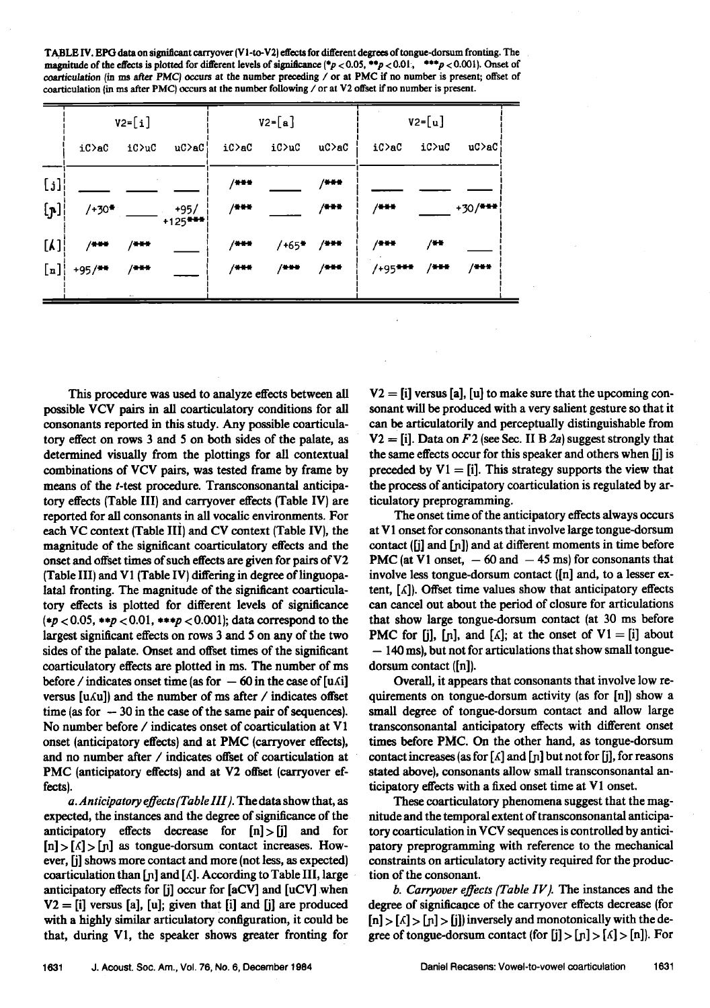**TABLE IV. EPG data on significant carryover (V1-to-V2) effects for different degrees of tongue-dorsum fronting. The magnitude of the effects is plotted for different levels of significance (\*p < 0.05, \*\*p < 0.01, \*\*\*p < 0.001). Onset of** coarticulation (in ms after PMC) occurs at the number preceding / or at PMC if no number is present; offset of **coarticulation {in ms after PMC) occurs at the number following / or at V2 offset if no number is present.** 

|                | $V2 = [i]$ |         |                    | $V2 = [a]$ |                  |             | $V2 = [u]$ |         |             |
|----------------|------------|---------|--------------------|------------|------------------|-------------|------------|---------|-------------|
|                | iC>aC      | iC>uC   | uC>aC¦             | iC>aC      | iC>uC            | $uc$ >a $c$ | iC>ac      | iC>uC   | $uC$ >a $C$ |
| [i]            |            |         |                    | $/ + +$    |                  | $/$ * * *   |            |         |             |
| $[\mathbf{p}]$ | $/+30$ *   |         | +95/<br>$+125$ *** | $/$ ***    |                  | $/$ which   | $/$ ***    |         | $+30/$ ***  |
| $[\lambda]$    | $/***$     | $/$ *** |                    | $/ + + +$  | $/+65$ * $/$ *** |             | $/$ * * *  | $/$ + + |             |
| [n]            | $+95/$ **  | $/ + +$ |                    | $/ + +$    | $/$ + + +        | $/$ ***     | $/+95$ *** | $/$ *** | $/ + + +$   |
|                |            |         |                    |            |                  |             |            |         |             |

**This procedure was used to analyze effects between all possible VCV pairs in all coarticulatory conditions for all consonants reported in this study. Any possible coarticulatory effect on rows 3 and 5 on both sides of the palate, as determined visually from the plottings for all contextual combinations of VCV pairs, was tested frame by frame by means of the t-test procedure. Transconsonantal anticipatory effects (Table III) and carryover effects (Table IV) are reported for all consonants in all vocalic environments. For each VC context (Table IH) and CV context (Table IV}, the magnitude of the significant coarticulatory effects and the onset and offset times of such effects are given for pairs of V2 (Table III) and V1 (Table IV) differing in degree of linguopalatal fronting. The magnitude of the significant coarticulatory effects is plotted for different levels of significance (\*p <0.05, \*\*p < 0.01, \*\*\*p < 0.001); data correspond to the largest significant effects on rows 3 and 5 on any of the two**  sides of the palate. Onset and offset times of the significant **coarticulatory effects are plotted in ms. The number of ms before** / indicates onset time (as for  $-60$  in the case of [u $\Lambda$ i] **versus [u** $\Lambda$ **u]) and the number of ms after / indicates offset** time (as for  $-30$  in the case of the same pair of sequences). **No number before / indicates onset of coarticulation at V1 onset (anticipatory effects) and at PMC (carryover effects}, and no number after / indicates offset of coarticulation at PMC (anticipatory effects) and at V2 offset (carryover effects).** 

a. Anticipatory effects (Table **III**). The data show that, as **expected, the instances and the degree of significance of the anticipatory effects decrease for [n]>[j] and for**   $[n] > [A] > [n]$  as tongue-dorsum contact increases. How**ever, [j] shows more contact and more (not less, as expected}**  coarticulation than [n] and [A]. According to Table III, large **anticipatory effects for [j] occur for [aCV] and [uCV] .when V2 = [i] versus [a], [u]; given that [i] and [j] are produced with a highly similar articulatory configuration, it could be that, during V1, the speaker shows greater fronting for**  **V2 = [i] versus [a], [u] to make sure that the upcoming consonant will be produced with a very salient gesture so that it can be articulatorily and perceptually distinguishable from**   $V2 = [i]$ . Data on F 2 (see Sec. II B 2a) suggest strongly that **the same effects occur for this speaker and others when [j] is**  preceded by  $V1 = [i]$ . This strategy supports the view that the process of anticipatory coarticulation is regulated by ar**tieulatory preprogramming.** 

**The onset time of the anticipatory effects always occurs at V 1 onset for consonants that involve large tongue-dorsum**  contact ([j] and [n]) and at different moments in time before **PMC** (at V1 onset,  $-60$  and  $-45$  ms) for consonants that **involve less tongue-dorsum contact ([n] and, to a lesser ex**tent, [ $\Lambda$ ]). Offset time values show that anticipatory effects **can cancel out about the period of closure for articulations that show large tongue-dorsum contact (at 30 ms before PMC for [j], [n], and [** $\Lambda$ **]; at the onset of V1 = [i] about - 140 ms), but not for articulations that show small tonguedorsum contact ([n]).** 

Overall, it appears that consonants that involve low re**quirements on tongue-dorsum activity (as for In]) show a small degree of tongue-dorsum contact and allow large transconsonantal anticipatory effects with different onset times before PMC. On the other hand, as tongue-dorsum**  contact increases (as for  $\lceil \Lambda \rceil$  and  $\lceil n \rceil$  but not for  $\lceil \cdot \rceil$ ), for reasons **stated above), consonants allow small transconsonantal anticipatory effects with a fixed onset time at V1 onset.** 

**These coarticulatory phenomena suggest that the magnitude and the temporal extent of transconsonantal anticipatory coarticulation in VCV sequences is controlled by antici**patory preprogramming with reference to the mechanical **constraints on articulatory activity required for the production of the consonant.** 

**b. Carryover effects/Table IV/. The instances and the**  degree of significance of the carryover effects decrease (for  $[n] > [1] > [j]$  inversely and monotonically with the de**gree of tongue-dorsum contact (for [j] > [n] > [s] > [n]). For**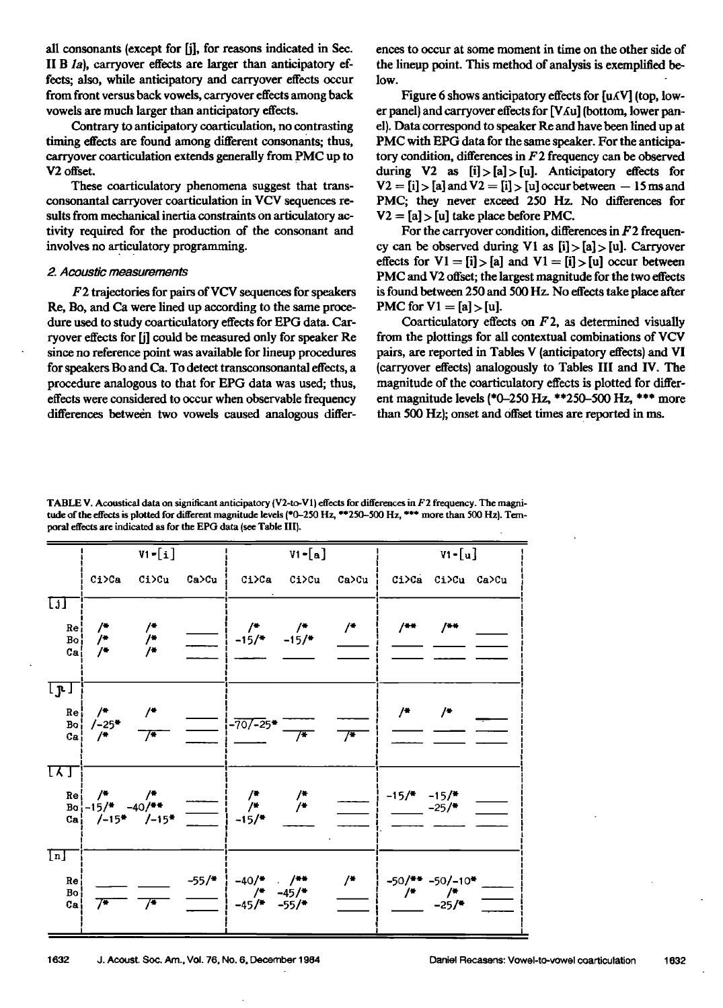**all consonants (except for [j], for reasons indicated in Sec.**  II B *Ia*), carryover effects are larger than anticipatory ef**fects; also, while anticipatory and carryover effects occur from front versus back vowels, carryover effects among back vowds are much larger than anticipatory effects.** 

**Contrary to anticipatory coarticulation, no contrasting timing effects are found among different consonants; thus, carryover coarticulation extends generally from PMC up to V2 offset.** 

**These coarticulatory phenomena suggest that transconsonantal carryover coarticulation in VCV sequences resuits from mechanical inertia constraints on articulatory activity required for the production of the consonant and**  involves no articulatory programming.

#### **2. Acoustic measurements**

**F2 trajectories for pairs of VCV sequences for speakers Re, Bo, and Ca were lined up according to the same procedure used to study coarticulatory effects for EPG data. Carryover effects for [j] could be measured only for speaker Re since no reference point was available for lineup procedures**  for speakers Bo and Ca. To detect transconsonantal effects, a **procedure analogous to that for EPG data was used; thus, effects were considered to occur when observable frequency**  differences between two vowels caused analogous differ**ences to occur at some moment in time on the other side of the lineup point. This method of analysis is exemplified below.** 

Figure 6 shows anticipatory effects for [u<sub>A</sub>V] (top, lower panel) and carryover effects for [VAu] (bottom, lower pan**el). Data' correspond to speaker Re and have been lined up at PMC with EPG data for the same speaker. For the anticipatory condition, differences in F2 frequency can be observed during V2 as [i] > [a] > [u]. Anticipatory effects for**   $V2 = [i] > [a]$  and  $V2 = [i] > [u]$  occur between  $-15$  ms and **PMC; they never exceed 250 Hz. No differences for**   $V2 = [a]$  > [u] take place before PMC.

For the carryover condition, differences in F<sub>2</sub> frequen**cy can be observed during VI as [i] > [a] > [u]. Carryover**  effects for  $V1 = [i] > [a]$  and  $V1 = [i] > [u]$  occur between **PMC and V2 offset; the largest magnitude for the two effects is found between 250 and 500 Hz. No effects take place after PMC for**  $V1 = [a] > [u]$ **.** 

**Coarticulatory effects on F2, as determined visually from the plottings for all contextual combinations of VCV pairs, are reported in Tables V (anticipatory effects) and VI (carryover effects) analogously to Tables III and IV. The magnitude of the coarticulatory effects is plotted for different magnitude levels (\*0-250 Hz, \*\*250-500 Hz, \*\*\* more than 500 Hz}; onset and Offset times are. reported in ms.** 

**TABLE V. Acoustical data on significant anticipatory (V2-to-V 1) effects for differences in F2 frequency. The magni**tude of the effects is plotted for different magnitude levels (\*0-250 Hz, \*\*250-500 Hz, \*\*\* more than 500 Hz). Tem**poral effects are indicated as for the EPG data (see Table III}.** 

|                                                                 | $V1 - [i]$                           |                                                                            |                         |                                                                                                                                                                                                                                                                                                                                                           | $VI - [a]$    |                                                                            |                                          | $V1 - [u]$        |  |  |
|-----------------------------------------------------------------|--------------------------------------|----------------------------------------------------------------------------|-------------------------|-----------------------------------------------------------------------------------------------------------------------------------------------------------------------------------------------------------------------------------------------------------------------------------------------------------------------------------------------------------|---------------|----------------------------------------------------------------------------|------------------------------------------|-------------------|--|--|
|                                                                 | $Ci$ $Ca$                            |                                                                            | $Ci$ ) $Cu$ $Ca$ ) $Cu$ |                                                                                                                                                                                                                                                                                                                                                           | Ci>Ca Ci>Cu   | Ca>Cu                                                                      |                                          | Ci>Ca Ci>Cu Ca>Cu |  |  |
| ចា<br>Re <sub>1</sub><br>Bo <sub>i</sub><br>Cal                 | /<br>/<br>.<br>/*∴                   | $\begin{array}{c}\n\frac{1}{2} \\ \frac{1}{2} \\ \frac{1}{2}\n\end{array}$ |                         | $\frac{1}{\sqrt{2}}$ $\begin{pmatrix} 1 & 1 \\ -15/4 & -15/4 \end{pmatrix}$                                                                                                                                                                                                                                                                               |               | $/$ *                                                                      | $/$ **                                   | $/ +$             |  |  |
| ा गु ∏<br>Re <sub>1</sub><br>Bo <sub>1</sub><br>Ca <sub>1</sub> | /<br>$/ - 25$ *<br>/                 | $\frac{4}{3}$<br>$\overline{r}$                                            |                         | $\frac{1}{2}$  -70/-25*                                                                                                                                                                                                                                                                                                                                   | 7* I          | $\overline{7}$                                                             | $/$ *                                    | $\frac{1}{2}$     |  |  |
| <u>IXT</u><br>Re <sub>i</sub><br>$ca$                           | $/$ * $/$ *<br>$Bo11 - 15/4 - 40/44$ | $/-15*$ $/-15*$                                                            |                         | $\frac{\phantom{1}}{1}$ $\phantom{1}$ $\phantom{1}$ $\phantom{1}$ $\phantom{1}$ $\phantom{1}$ $\phantom{1}$ $\phantom{1}$ $\phantom{1}$ $\phantom{1}$ $\phantom{1}$ $\phantom{1}$ $\phantom{1}$ $\phantom{1}$ $\phantom{1}$ $\phantom{1}$ $\phantom{1}$ $\phantom{1}$ $\phantom{1}$ $\phantom{1}$ $\phantom{1}$ $\phantom{1}$ $\phantom{1}$ $\phantom{1}$ | $\frac{1}{4}$ | $\begin{array}{c} \overbrace{\hspace{15mm}} \rule{2mm}{2.5mm} \end{array}$ | $-15/$ $-15/$<br>$-25/$                  |                   |  |  |
| $\boxed{n}$<br>Re <sub>1</sub><br>Bo <sub>1</sub><br>Ca         |                                      | $\frac{1}{4}$                                                              | $-55/$ *                | $-40/$ $/$ $/$ $+$ $+$<br>$\frac{1}{2}$<br>$-45/$ $-55/$                                                                                                                                                                                                                                                                                                  | $-45/$        | $/$ *                                                                      | $-50$ /** $-50$ / $-10$ *<br>$/$ * $/$ * | $-25/$            |  |  |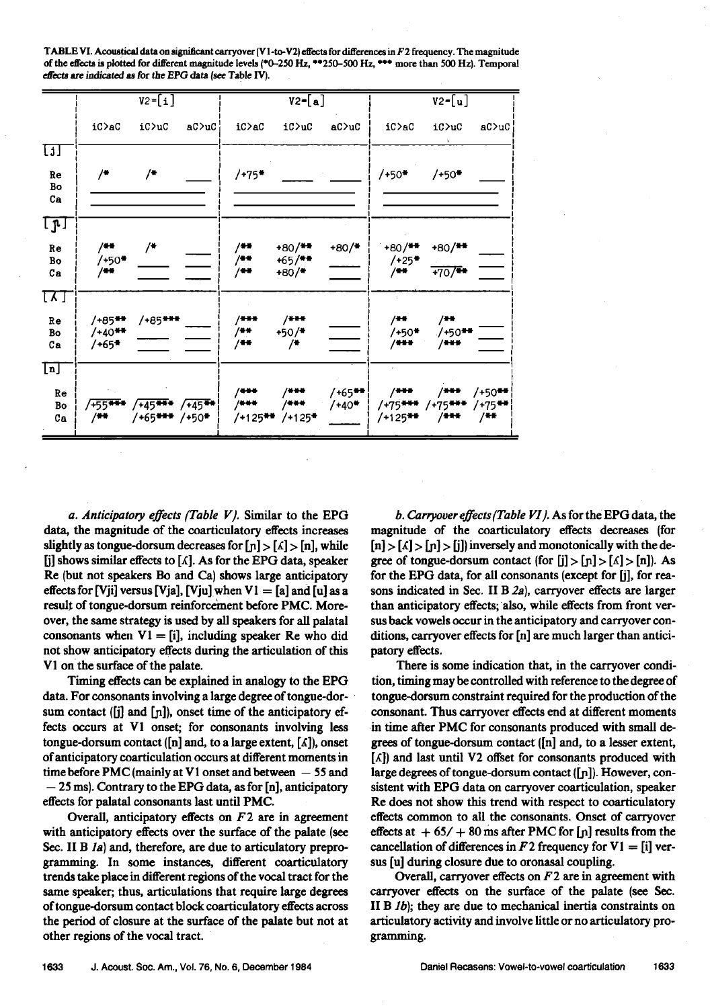| TABLE VI. Acoustical data on significant carryover (V1-to-V2) effects for differences in F2 frequency. The magnitude |  |
|----------------------------------------------------------------------------------------------------------------------|--|
| of the effects is plotted for different magnitude levels (*0-250 Hz, **250-500 Hz, *** more than 500 Hz). Temporal   |  |
| effects are indicated as for the EPG data (see Table IV).                                                            |  |
|                                                                                                                      |  |

|                                                                                 | $V2 = [i]$                      |                                                               |             |                       | $V2=[a]$                                    |                        |                                             | $V2 = [u]$                             |                               |  |
|---------------------------------------------------------------------------------|---------------------------------|---------------------------------------------------------------|-------------|-----------------------|---------------------------------------------|------------------------|---------------------------------------------|----------------------------------------|-------------------------------|--|
|                                                                                 | iC>aC                           | iC>uC                                                         | $aC$ ) $uC$ | iC>aC                 | iC>uC                                       | aC                     | iC>aC                                       | iC>uC                                  | aC                            |  |
| ចា                                                                              |                                 |                                                               |             |                       |                                             |                        |                                             |                                        |                               |  |
| Re<br>Bo<br>Ca                                                                  | /*                              | /*                                                            |             | $/+75*$               |                                             |                        | /+50*                                       | $/+50*$                                |                               |  |
| <u>קז</u>                                                                       |                                 |                                                               |             |                       |                                             |                        |                                             |                                        |                               |  |
| Re<br>Bo<br>Сa                                                                  | /**<br>$/+50*$<br>/**           | /*                                                            |             | /**<br>/**<br>/**     | $+80/$ <sup>**</sup><br>$+65/$ **<br>$+80/$ | $+80/$                 | $+80/$ **<br>$/+25$ *<br>$/$ **             | $+80/$ **<br>$+70$ /**                 |                               |  |
| $\overline{\mathfrak{l} \Lambda}$ $\overline{\mathfrak{l} }$<br>Re<br>Bo<br>$c$ | /+85**<br>$/+40$ **<br>$/$ +65* | /+85***                                                       |             | /***<br>/**<br>$/$ ** | $/$ ***<br>$+50/$<br>/*                     |                        | /**<br>/+50*<br>$/ + + +$                   | /**<br>$/+50$ <sup>**</sup><br>$/ + +$ |                               |  |
| $\boxed{\tt n}$<br>Re<br>Bo<br>$c$                                              | $/+55$ ***<br>/**               | $\sqrt{+45}$ *** $\sqrt{+45}$ **<br>/+65 <del>***</del> /+50* |             | /***<br>$/$ * * *     | /***<br>/***<br>/+125** /+125*              | $/$ +65** $ $<br>/+40* | /***<br>$/+75$ *** $/+75$ ***<br>$/+125$ ** | /***<br>$/ + +$                        | $/+50$ **<br>$/+75$ **<br>/** |  |

**a. Anticipatory effects {Table Ix}. Similar to the EPG data, the magnitude of the coarticulatory effects increases**  slightly as tongue-dorsum decreases for  $[n] > [1]$ , while [j] shows similar effects to [ $\Lambda$ ]. As for the EPG data, speaker **Re (but not speakers Bo and Ca) shows large anticipatory effects for [Vji] versus [Vja], [Vju] when**  $VI = [a]$  **and [u] as a result of tongue-dorsum reinforcement before PMC. Moreover, the same strategy is used by all speakers for all palatal**  consonants when  $V1 = [i]$ , including speaker Re who did **not show anticipatory effects during the articulation of this V 1 on'the surface of the palate.** 

**Timing effects can be explained in analogy to the EPG data. For consonants involving a large degree of tongue-dot**sum contact ([j] and [n]), onset time of the anticipatory ef**fects occurs at V1 onset; for consonants involving less**  tongue-dorsum contact ( $[n]$  and, to a large extent,  $[\Lambda]$ ), onset **of anticipatory coarticulation occurs at different moments in**  time before PMC (mainly at V1 onset and between  $-55$  and **-- 25 ms). Contrary to the EPG data, as for [n], anticipatory effects for palatal consonants last until PMC.** 

**Overall, anticipatory effects on F2 are in agreement with anticipatory effects over the surface of the palate (see**  Sec. II B *la*) and, therefore, are due to articulatory prepro**gramming. In some instances, different coarticulatory trends take place in different regions of the vocal tract for the same speaker; thus, articulations that require large degrees oftongue-dorsum contact block coarticulatory effects across the period of closure at the surface of the palate but not at other regions of the vocal tract.** 

**b. Carryover effects (Table VI). As for the EPG data, the magnitude of the coarticulatory effects decreases (for**   $[n] > [\Lambda] > [n] > [j]$  inversely and monotonically with the de**gree of tongue-dorsum contact (for [j] > [n] > [A] > [n]). As for the EPG data, for all consonants (except for [j], for rea**sons indicated in Sec. II B 2a), carryover effects are larger than anticipatory effects; also, while effects from front ver**sus back vowels occur in the anticipatory and carryover conditions, carryover effects for [n] arc much larger than anticipatory effects.** 

**There is some indication that, in the carryover condition, timing may be controlled with reference to the degree of tongue-dorsum constraint required for the production of the consonant. Thus carryover effects end at different moments ß in time after PMC for consonants produced with small degrees of tongue-dorsum contact (In] and, to a lesser extent, [•]) and last until V2 offset for consonants produced with**  large degrees of tongue-dorsum contact ([n]). However, con**sistent with EPG data on carryover coarticulation, speaker Re does not show this trend with respect to coarticulatory effects common to all the consonants. Onset of carryover**  effects at  $+ 65/ + 80$  ms after PMC for [n] results from the **cancellation of differences in F2 frequency for VI = [i] versus [u] during closure due to oronasal coupling.** 

**Overall, carryover effects on F2 are in agreement with carryover effects on the surface of the palate (see Sec. II B lb); they are due to mechanical inertia constraints on articulatory activity and involve little or no articulatory programming.**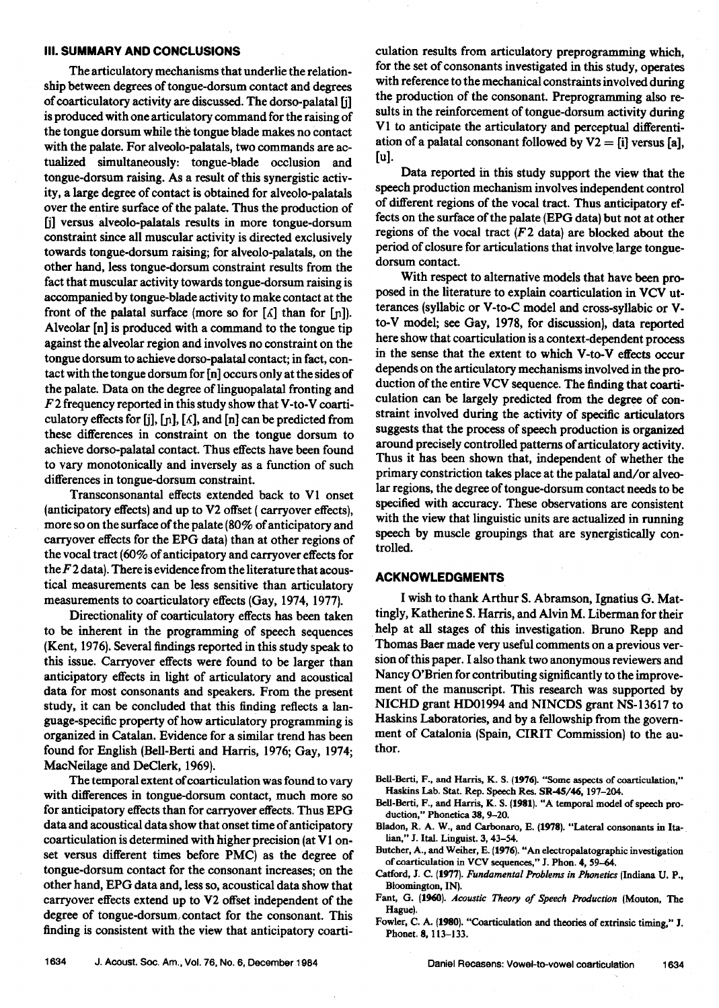#### **III. SUMMARY AND CONCLUSIONS**

**The articulatory mechanisms that underlie the relationship between degrees of tongue-dorsum contact and degrees of coarticulatory activity are discussed. The dorso-palatal [j] is produced with one artieulatory command for the raising of**  the tongue dorsum while the tongue blade makes no contact **with the palate. For alveolo-palatals, two commands are ac**tualized simultaneously: tongue-blade occlusion and **tongue-dorsum raising. As a result of this synergistic activity, a large degree of contact is obtained for alveolo-palatals over the entire surface of the palate. Thus the production of [j] versus alveolo-palatals results in more tongue-dorsum constraint since all muscular activity is directed exclusively towards tongue-dorsum raising; for alveolo-palatals, on the other hand, less tongue-dorsum constraint results from the fact that muscular activity towards tongue-dorsum raising is accompanied by tongue-blade activity to make contact at the**  front of the palatal surface (more so for  $[\Lambda]$  than for  $[n]$ ). **Alveolar [n] is produced with a command to the tongue tip**  against the alveolar region and involves no constraint on the **tongue dotsum to achieve dorso-palatal contact; in fact, contact with the tongue dorsum for [n] occurs only at the sidesof the palate. Data on the degree of linguopalatal fronting and F2 frequency reported in this study show that V-to-V coarti**culatory effects for [j],  $[n]$ ,  $[\Lambda]$ , and  $[n]$  can be predicted from **these differences in constraint on the tongue dotsum to achieve dorso-palatal contact. Thus effects have been found to vary monotonically and inversely as a function of such differences in tongue-dorsum constraint.** 

**Transconsonantal effects 'extended back to V1 onset (anticipatory effects) and up to V2 offset (carryover effects), more so on the surface of the palate (80% of anticipatory and carryover effects for the EPG data) than at other regions of the vocal tract (60% of anticipatory and carryover effects for the F 2 data). There is evidence from the literature that acoustical measurements can be less sensitive than articulatory measurements to coarticulatory effects (Gay, 1974, 1977).** 

**Directionality of coarticulatory effects has been taken to be inherent in the programming of speech sequences (Kent, 1976). Several findings reported in this study speak to this issue. Carryover effects were found to be larger than anticipatory effects in light of articulatory and acoustical data for most consonants and speakers. From the present study, it can be concluded that this finding reflects a language-specific property of how articulatory programming is organized in Catalan. Evidence for a similar trend has been found for English (Bell-Berti and Harris, 1976; Gay, 1974; MacNeilage and DeClerk, 1969).** 

**The temporalextent ofcoarticulation was found to vary with differences in tongue-dorsum contact, much more so for anticipatory effects than for carryover effects. Thus EPG data and acoustical data show that onsetime of anticipatory coarticulation is determined with higher precision (at V 1 onset versus different times before PMC) as the degree of tongue-dorsum contact for the consonant increases; on the other hand, EPG data and, less so, acoustical data show that carryover effects extend up to V2 offset independent of the**  degree of tongue-dorsum/contact for the consonant. This **finding is consistent with the view that anticipatory coarti-**

**culation results from articulatory preprogramming which, for the set of consonants investigated in this study, operates**  with reference to the mechanical constraints involved during **the production of the consonant. Preprogramming also resuits in the reinforcement of tongue-dorsum activity during V 1 to anticipate the articulatory and perceptual differentiation of a palatal consonant followed by V2 = [i] versus [a], [u].** 

Data reported in this study support the view that the **speech production mechanism involves independent control of different regions of the vocal tract. Thus anticipatory effects on the surface of the palate (EPG data) but not at other regions of the vocal tract (F 2 data) are blocked about the period of closure for articulations that involve. large tonguedotsum contact.** 

With respect to alternative models that have been pro**posed in the literature to explain coarticulation in VCV utterances (syllabic or V-to-C model and cross-syllabic orV**to-V model; see Gay, 1978, for discussion), data reported **here show that coarticulation is a context-dependent process in the sense that the extent to which V-to-V effects occur depends on the articulatory mechanisms involved in the production of the entire VCV sequence. The finding that coartieulation can be largely predicted from the degree of constraint involved during the activity of specific articulators suggests that the process of speech production is organized around precisely controlled patterns ofarticulatory activity. Thus it has been shown that, independent of whether the**  primary constriction takes place at the palatal and/or alveo**lar regions, the degree of tongue-dorsum contact needs to be specified with accuracy. These observations are consistent with the view that linguistic units are actualized in running speech by muscle groupings that are synergistically controlled.** 

## **ACKNOWLEDGMENTS**

**I wish to thank Arthur S. Abramson, Ignatius G. Mattingly, Katherine S. Harris, and Alvin M. Liberman for their help at all stages of this investigation. Bruno Repp and Thomas Baer made very useful comments on a previous version of this paper. Ialso thank two anonymous reviewers and Nancy O'Brien for contributing significantly to the improvement of the manuscript. This research was supported by NICHD grant HD01994 and NINCDS grant NS-13617 to Haskins Laboratories, and by a fellowship from the government of Catalonia (Spain, CIRIT Commission) to the author.** 

**BcU-Bcrti, F., and Harris, K. S. (1976). "Some aspects of coarticulation," Haskins Lab. Star. Rep. Speech Res. SR-45/46, 197-204.** 

**BeU-Berti, F., and Harris, K. S. (1981}. "A temporal model of speech production," Phonctica 38, 9-20.** 

Bladon, R. A. W., and Carbonaro, E. (1978). "Lateral consonants in Ita**lian," J. Ital. Linguist. 3, 43-54.** 

**Butcher, A., and Weiher, E. (1976). "An electropalatographic investigation of coartieulation in VCV sequences," J. Phon. 4, 59-64.** 

Catford, J. C. (1977). Fundamental Problems in Phonetics (Indiana U. P., **Bloomington, IN).** 

Fant, G. (1960). Acoustic Theory of Speech Production (Mouton, The **Hague).** 

Fowler, C. A. (1980). "Coarticulation and theories of extrinsic timing," J. **Phonct. 8, 113-133.**